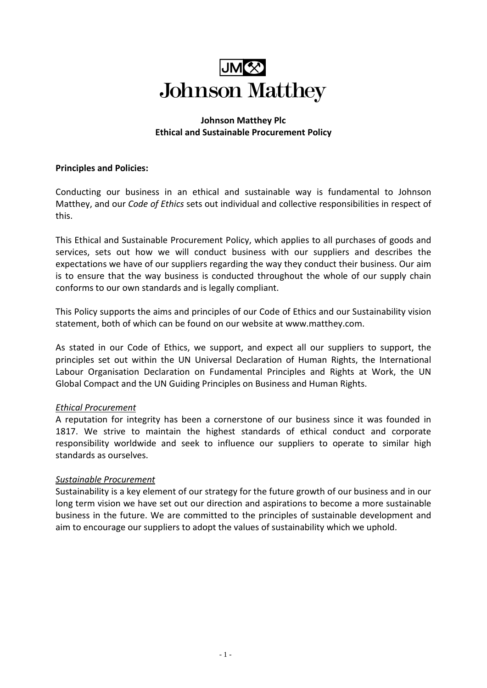# **Johnson Matthey**

## **Johnson Matthey Plc Ethical and Sustainable Procurement Policy**

## **Principles and Policies:**

Conducting our business in an ethical and sustainable way is fundamental to Johnson Matthey, and our *[Code of](http://ethics.johnsonmatthey.com/) Ethics* sets out individual and collective responsibilities in respect of this.

This Ethical and Sustainable Procurement Policy, which applies to all purchases of goods and services, sets out how we will conduct business with our suppliers and describes the expectations we have of our suppliers regarding the way they conduct their business. Our aim is to ensure that the way business is conducted throughout the whole of our supply chain conforms to our own standards and is legally compliant.

This Policy supports the aims and principles of our Code of Ethics and our Sustainability vision statement, both of which can be found on our website at [www.matthey.com.](http://www.matthey.com/)

As stated in our Code of Ethics, we support, and expect all our suppliers to support, the principles set out within the UN Universal Declaration of Human Rights, the International Labour Organisation Declaration on Fundamental Principles and Rights at Work, the UN Global Compact and the UN Guiding Principles on Business and Human Rights.

# *Ethical Procurement*

A reputation for integrity has been a cornerstone of our business since it was founded in 1817. We strive to maintain the highest standards of ethical conduct and corporate responsibility worldwide and seek to influence our suppliers to operate to similar high standards as ourselves.

#### *Sustainable Procurement*

Sustainability is a key element of our strategy for the future growth of our business and in our long term vision we have set out our direction and aspirations to become a more sustainable business in the future. We are committed to the principles of sustainable development and aim to encourage our suppliers to adopt the values of sustainability which we uphold.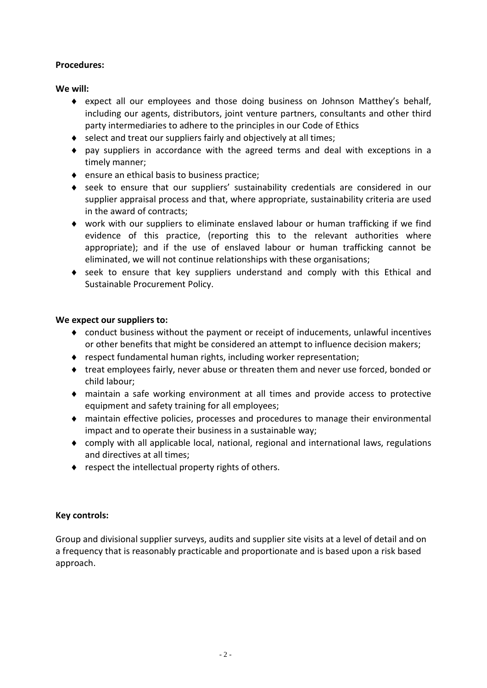# **Procedures:**

## **We will:**

- ♦ expect all our employees and those doing business on Johnson Matthey's behalf, including our agents, distributors, joint venture partners, consultants and other third party intermediaries to adhere to the principles in our Code of Ethics
- ♦ select and treat our suppliers fairly and objectively at all times;
- ♦ pay suppliers in accordance with the agreed terms and deal with exceptions in a timely manner;
- ♦ ensure an ethical basis to business practice;
- ♦ seek to ensure that our suppliers' sustainability credentials are considered in our supplier appraisal process and that, where appropriate, sustainability criteria are used in the award of contracts;
- ♦ work with our suppliers to eliminate enslaved labour or human trafficking if we find evidence of this practice, (reporting this to the relevant authorities where appropriate); and if the use of enslaved labour or human trafficking cannot be eliminated, we will not continue relationships with these organisations;
- ♦ seek to ensure that key suppliers understand and comply with this Ethical and Sustainable Procurement Policy.

## **We expect our suppliers to:**

- ♦ conduct business without the payment or receipt of inducements, unlawful incentives or other benefits that might be considered an attempt to influence decision makers;
- ♦ respect fundamental human rights, including worker representation;
- ♦ treat employees fairly, never abuse or threaten them and never use forced, bonded or child labour;
- ♦ maintain a safe working environment at all times and provide access to protective equipment and safety training for all employees;
- ♦ maintain effective policies, processes and procedures to manage their environmental impact and to operate their business in a sustainable way;
- ♦ comply with all applicable local, national, regional and international laws, regulations and directives at all times;
- ♦ respect the intellectual property rights of others.

# **Key controls:**

Group and divisional supplier surveys, audits and supplier site visits at a level of detail and on a frequency that is reasonably practicable and proportionate and is based upon a risk based approach.